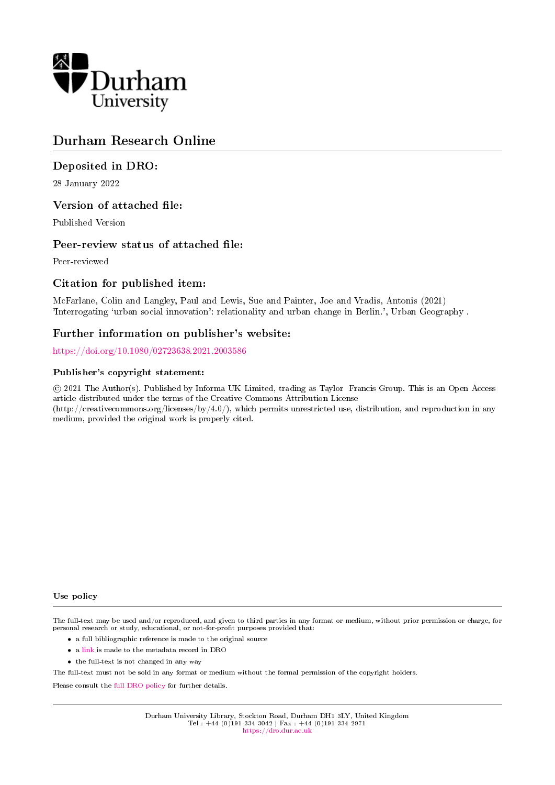

# Durham Research Online

## Deposited in DRO:

28 January 2022

## Version of attached file:

Published Version

## Peer-review status of attached file:

Peer-reviewed

## Citation for published item:

McFarlane, Colin and Langley, Paul and Lewis, Sue and Painter, Joe and Vradis, Antonis (2021) 'Interrogating `urban social innovation': relationality and urban change in Berlin.', Urban Geography .

## Further information on publisher's website:

<https://doi.org/10.1080/02723638.2021.2003586>

## Publisher's copyright statement:

 c 2021 The Author(s). Published by Informa UK Limited, trading as Taylor Francis Group. This is an Open Access article distributed under the terms of the Creative Commons Attribution License (http://creativecommons.org/licenses/by/4.0/), which permits unrestricted use, distribution, and reproduction in any medium, provided the original work is properly cited.

#### Use policy

The full-text may be used and/or reproduced, and given to third parties in any format or medium, without prior permission or charge, for personal research or study, educational, or not-for-profit purposes provided that:

- a full bibliographic reference is made to the original source
- a [link](http://dro.dur.ac.uk/34259/) is made to the metadata record in DRO
- the full-text is not changed in any way

The full-text must not be sold in any format or medium without the formal permission of the copyright holders.

Please consult the [full DRO policy](https://dro.dur.ac.uk/policies/usepolicy.pdf) for further details.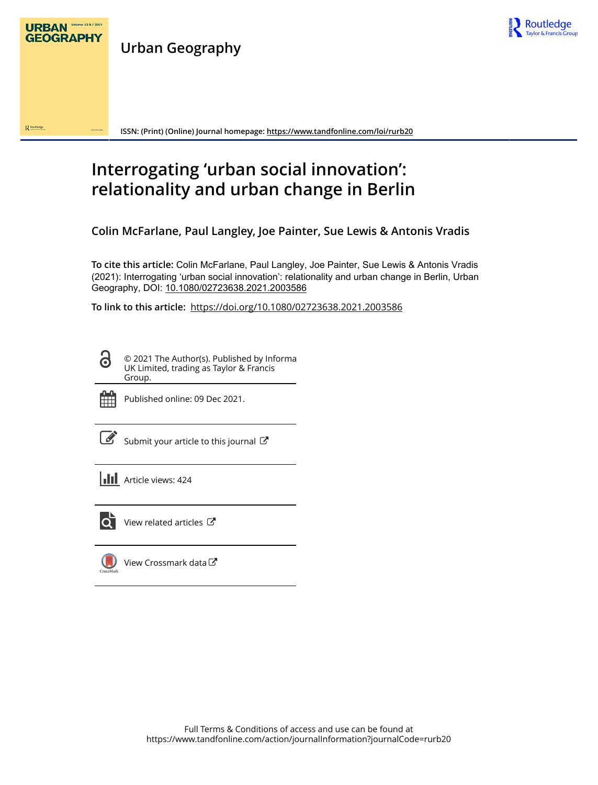

**Urban Geography**



**ISSN: (Print) (Online) Journal homepage:<https://www.tandfonline.com/loi/rurb20>**

# **Interrogating 'urban social innovation': relationality and urban change in Berlin**

**Colin McFarlane, Paul Langley, Joe Painter, Sue Lewis & Antonis Vradis**

**To cite this article:** Colin McFarlane, Paul Langley, Joe Painter, Sue Lewis & Antonis Vradis (2021): Interrogating 'urban social innovation': relationality and urban change in Berlin, Urban Geography, DOI: [10.1080/02723638.2021.2003586](https://www.tandfonline.com/action/showCitFormats?doi=10.1080/02723638.2021.2003586)

**To link to this article:** <https://doi.org/10.1080/02723638.2021.2003586>

© 2021 The Author(s). Published by Informa UK Limited, trading as Taylor & Francis Group.



ര

Published online: 09 Dec 2021.

[Submit your article to this journal](https://www.tandfonline.com/action/authorSubmission?journalCode=rurb20&show=instructions)  $\mathbb{Z}$ 

**Article views: 424** 



 $\overline{Q}$  [View related articles](https://www.tandfonline.com/doi/mlt/10.1080/02723638.2021.2003586)  $\overline{C}$ 

[View Crossmark data](http://crossmark.crossref.org/dialog/?doi=10.1080/02723638.2021.2003586&domain=pdf&date_stamp=2021-12-09)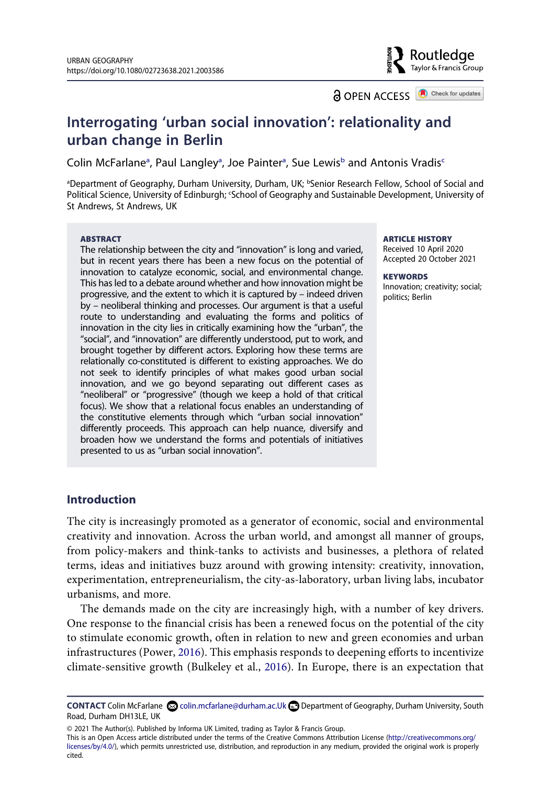Routledae Taylor & Francis Group

**a** OPEN ACCESS **a** Check for updates

## **Interrogating 'urban social innovation': relationality and urban change in Berlin**

Colin McF[a](#page-2-0)rlane<sup>a</sup>, Paul Langley<sup>a</sup>, Joe Painter<sup>a</sup>, Sue Lewis<sup>b</sup> and Antonis Vradis<sup>c</sup>

<span id="page-2-1"></span><span id="page-2-0"></span>aDepartment of Geography, Durham University, Durham, UK; **bSenior Research Fellow, School of Social** and Political Science, University of Edinburgh; 'School of Geography and Sustainable Development, University of St Andrews, St Andrews, UK

#### **ABSTRACT**

The relationship between the city and "innovation" is long and varied, but in recent years there has been a new focus on the potential of innovation to catalyze economic, social, and environmental change. This has led to a debate around whether and how innovation might be progressive, and the extent to which it is captured by – indeed driven by – neoliberal thinking and processes. Our argument is that a useful route to understanding and evaluating the forms and politics of innovation in the city lies in critically examining how the "urban", the "social", and "innovation" are differently understood, put to work, and brought together by different actors. Exploring how these terms are relationally co-constituted is different to existing approaches. We do not seek to identify principles of what makes good urban social innovation, and we go beyond separating out different cases as "neoliberal" or "progressive" (though we keep a hold of that critical focus). We show that a relational focus enables an understanding of the constitutive elements through which "urban social innovation" differently proceeds. This approach can help nuance, diversify and broaden how we understand the forms and potentials of initiatives presented to us as "urban social innovation".

#### **ARTICLE HISTORY**

Received 10 April 2020 Accepted 20 October 2021

**KEYWORDS**  Innovation; creativity; social; politics; Berlin

#### **Introduction**

The city is increasingly promoted as a generator of economic, social and environmental creativity and innovation. Across the urban world, and amongst all manner of groups, from policy-makers and think-tanks to activists and businesses, a plethora of related terms, ideas and initiatives buzz around with growing intensity: creativity, innovation, experimentation, entrepreneurialism, the city-as-laboratory, urban living labs, incubator urbanisms, and more.

<span id="page-2-3"></span>The demands made on the city are increasingly high, with a number of key drivers. One response to the financial crisis has been a renewed focus on the potential of the city to stimulate economic growth, often in relation to new and green economies and urban infrastructures (Power, [2016\)](#page-22-0). This emphasis responds to deepening efforts to incentivize climate-sensitive growth (Bulkeley et al., [2016](#page-21-0)). In Europe, there is an expectation that

This is an Open Access article distributed under the terms of the Creative Commons Attribution License (http://creativecommons.org/ licenses/by/4.0/), which permits unrestricted use, distribution, and reproduction in any medium, provided the original work is properly cited.

<span id="page-2-2"></span>CONTACT Colin McFarlane **©** colin.mcfarlane@durham.ac.Uk **Department of Geography, Durham University, South** Road, Durham DH13LE, UK

<sup>© 2021</sup> The Author(s). Published by Informa UK Limited, trading as Taylor & Francis Group.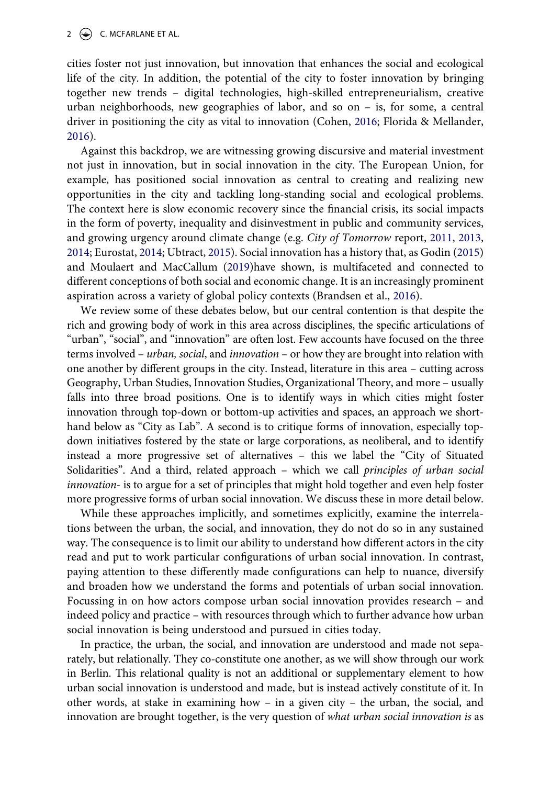cities foster not just innovation, but innovation that enhances the social and ecological life of the city. In addition, the potential of the city to foster innovation by bringing together new trends – digital technologies, high-skilled entrepreneurialism, creative urban neighborhoods, new geographies of labor, and so on – is, for some, a central driver in positioning the city as vital to innovation (Cohen, [2016;](#page-21-1) Florida & Mellander, [2016](#page-21-2)).

<span id="page-3-1"></span>Against this backdrop, we are witnessing growing discursive and material investment not just in innovation, but in social innovation in the city. The European Union, for example, has positioned social innovation as central to creating and realizing new opportunities in the city and tackling long-standing social and ecological problems. The context here is slow economic recovery since the financial crisis, its social impacts in the form of poverty, inequality and disinvestment in public and community services, and growing urgency around climate change (e.g. *City of Tomorrow* report, [2011](#page-21-3), [2013,](#page-21-4) [2014](#page-21-5); Eurostat, [2014](#page-21-6); Ubtract, [2015\)](#page-22-1). Social innovation has a history that, as Godin [\(2015\)](#page-21-7) and Moulaert and MacCallum [\(2019\)](#page-22-2)have shown, is multifaceted and connected to different conceptions of both social and economic change. It is an increasingly prominent aspiration across a variety of global policy contexts (Brandsen et al., [2016](#page-21-8)).

<span id="page-3-4"></span><span id="page-3-3"></span><span id="page-3-2"></span><span id="page-3-0"></span>We review some of these debates below, but our central contention is that despite the rich and growing body of work in this area across disciplines, the specific articulations of "urban", "social", and "innovation" are often lost. Few accounts have focused on the three terms involved – *urban, social*, and *innovation* – or how they are brought into relation with one another by different groups in the city. Instead, literature in this area – cutting across Geography, Urban Studies, Innovation Studies, Organizational Theory, and more – usually falls into three broad positions. One is to identify ways in which cities might foster innovation through top-down or bottom-up activities and spaces, an approach we shorthand below as "City as Lab". A second is to critique forms of innovation, especially topdown initiatives fostered by the state or large corporations, as neoliberal, and to identify instead a more progressive set of alternatives – this we label the "City of Situated Solidarities". And a third, related approach – which we call *principles of urban social innovation-* is to argue for a set of principles that might hold together and even help foster more progressive forms of urban social innovation. We discuss these in more detail below.

While these approaches implicitly, and sometimes explicitly, examine the interrelations between the urban, the social, and innovation, they do not do so in any sustained way. The consequence is to limit our ability to understand how different actors in the city read and put to work particular configurations of urban social innovation. In contrast, paying attention to these differently made configurations can help to nuance, diversify and broaden how we understand the forms and potentials of urban social innovation. Focussing in on how actors compose urban social innovation provides research – and indeed policy and practice – with resources through which to further advance how urban social innovation is being understood and pursued in cities today.

In practice, the urban, the social, and innovation are understood and made not separately, but relationally. They co-constitute one another, as we will show through our work in Berlin. This relational quality is not an additional or supplementary element to how urban social innovation is understood and made, but is instead actively constitute of it. In other words, at stake in examining how – in a given city – the urban, the social, and innovation are brought together, is the very question of *what urban social innovation is* as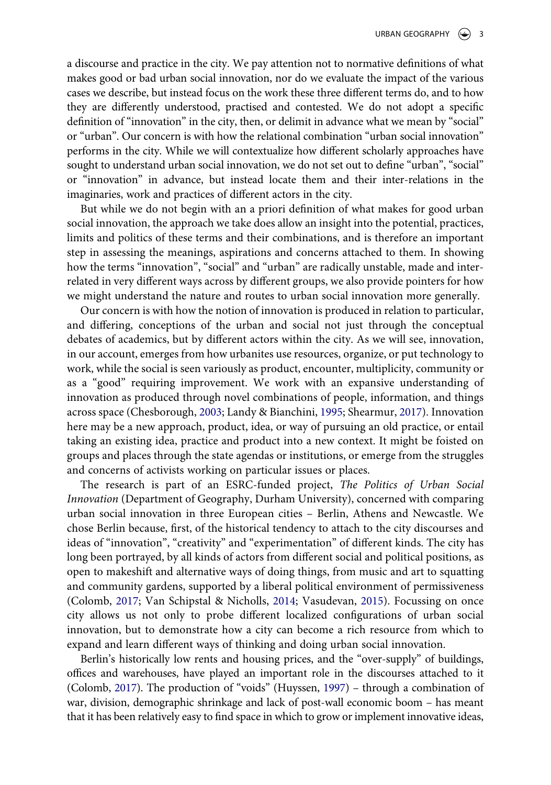a discourse and practice in the city. We pay attention not to normative definitions of what makes good or bad urban social innovation, nor do we evaluate the impact of the various cases we describe, but instead focus on the work these three different terms do, and to how they are differently understood, practised and contested. We do not adopt a specific definition of "innovation" in the city, then, or delimit in advance what we mean by "social" or "urban". Our concern is with how the relational combination "urban social innovation" performs in the city. While we will contextualize how different scholarly approaches have sought to understand urban social innovation, we do not set out to define "urban", "social" or "innovation" in advance, but instead locate them and their inter-relations in the imaginaries, work and practices of different actors in the city.

But while we do not begin with an a priori definition of what makes for good urban social innovation, the approach we take does allow an insight into the potential, practices, limits and politics of these terms and their combinations, and is therefore an important step in assessing the meanings, aspirations and concerns attached to them. In showing how the terms "innovation", "social" and "urban" are radically unstable, made and interrelated in very different ways across by different groups, we also provide pointers for how we might understand the nature and routes to urban social innovation more generally.

Our concern is with how the notion of innovation is produced in relation to particular, and differing, conceptions of the urban and social not just through the conceptual debates of academics, but by different actors within the city. As we will see, innovation, in our account, emerges from how urbanites use resources, organize, or put technology to work, while the social is seen variously as product, encounter, multiplicity, community or as a "good" requiring improvement. We work with an expansive understanding of innovation as produced through novel combinations of people, information, and things across space (Chesborough, [2003;](#page-21-9) Landy & Bianchini, [1995;](#page-21-10) Shearmur, [2017\)](#page-22-3). Innovation here may be a new approach, product, idea, or way of pursuing an old practice, or entail taking an existing idea, practice and product into a new context. It might be foisted on groups and places through the state agendas or institutions, or emerge from the struggles and concerns of activists working on particular issues or places.

<span id="page-4-0"></span>The research is part of an ESRC-funded project, *The Politics of Urban Social Innovation* (Department of Geography, Durham University), concerned with comparing urban social innovation in three European cities – Berlin, Athens and Newcastle. We chose Berlin because, first, of the historical tendency to attach to the city discourses and ideas of "innovation", "creativity" and "experimentation" of different kinds. The city has long been portrayed, by all kinds of actors from different social and political positions, as open to makeshift and alternative ways of doing things, from music and art to squatting and community gardens, supported by a liberal political environment of permissiveness (Colomb, [2017](#page-21-11); Van Schipstal & Nicholls, [2014;](#page-22-4) Vasudevan, [2015](#page-22-5)). Focussing on once city allows us not only to probe different localized configurations of urban social innovation, but to demonstrate how a city can become a rich resource from which to expand and learn different ways of thinking and doing urban social innovation.

<span id="page-4-2"></span><span id="page-4-1"></span>Berlin's historically low rents and housing prices, and the "over-supply" of buildings, offices and warehouses, have played an important role in the discourses attached to it (Colomb, [2017](#page-21-11)). The production of "voids" (Huyssen, [1997](#page-21-12)) – through a combination of war, division, demographic shrinkage and lack of post-wall economic boom – has meant that it has been relatively easy to find space in which to grow or implement innovative ideas,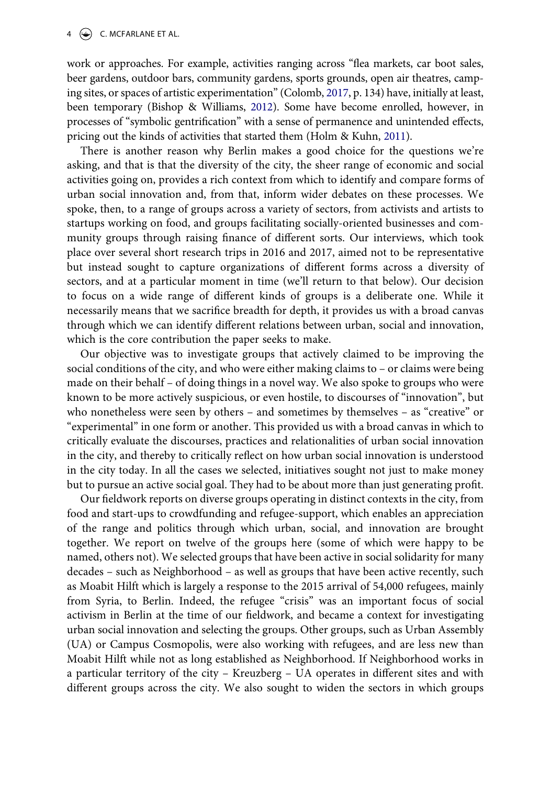<span id="page-5-0"></span>work or approaches. For example, activities ranging across "flea markets, car boot sales, beer gardens, outdoor bars, community gardens, sports grounds, open air theatres, camping sites, or spaces of artistic experimentation" (Colomb, [2017](#page-21-11), p. 134) have, initially at least, been temporary (Bishop & Williams, [2012](#page-21-13)). Some have become enrolled, however, in processes of "symbolic gentrification" with a sense of permanence and unintended effects, pricing out the kinds of activities that started them (Holm & Kuhn, [2011\)](#page-21-14).

<span id="page-5-1"></span>There is another reason why Berlin makes a good choice for the questions we're asking, and that is that the diversity of the city, the sheer range of economic and social activities going on, provides a rich context from which to identify and compare forms of urban social innovation and, from that, inform wider debates on these processes. We spoke, then, to a range of groups across a variety of sectors, from activists and artists to startups working on food, and groups facilitating socially-oriented businesses and community groups through raising finance of different sorts. Our interviews, which took place over several short research trips in 2016 and 2017, aimed not to be representative but instead sought to capture organizations of different forms across a diversity of sectors, and at a particular moment in time (we'll return to that below). Our decision to focus on a wide range of different kinds of groups is a deliberate one. While it necessarily means that we sacrifice breadth for depth, it provides us with a broad canvas through which we can identify different relations between urban, social and innovation, which is the core contribution the paper seeks to make.

Our objective was to investigate groups that actively claimed to be improving the social conditions of the city, and who were either making claims to – or claims were being made on their behalf – of doing things in a novel way. We also spoke to groups who were known to be more actively suspicious, or even hostile, to discourses of "innovation", but who nonetheless were seen by others – and sometimes by themselves – as "creative" or "experimental" in one form or another. This provided us with a broad canvas in which to critically evaluate the discourses, practices and relationalities of urban social innovation in the city, and thereby to critically reflect on how urban social innovation is understood in the city today. In all the cases we selected, initiatives sought not just to make money but to pursue an active social goal. They had to be about more than just generating profit.

Our fieldwork reports on diverse groups operating in distinct contexts in the city, from food and start-ups to crowdfunding and refugee-support, which enables an appreciation of the range and politics through which urban, social, and innovation are brought together. We report on twelve of the groups here (some of which were happy to be named, others not). We selected groups that have been active in social solidarity for many decades – such as Neighborhood – as well as groups that have been active recently, such as Moabit Hilft which is largely a response to the 2015 arrival of 54,000 refugees, mainly from Syria, to Berlin. Indeed, the refugee "crisis" was an important focus of social activism in Berlin at the time of our fieldwork, and became a context for investigating urban social innovation and selecting the groups. Other groups, such as Urban Assembly (UA) or Campus Cosmopolis, were also working with refugees, and are less new than Moabit Hilft while not as long established as Neighborhood. If Neighborhood works in a particular territory of the city – Kreuzberg – UA operates in different sites and with different groups across the city. We also sought to widen the sectors in which groups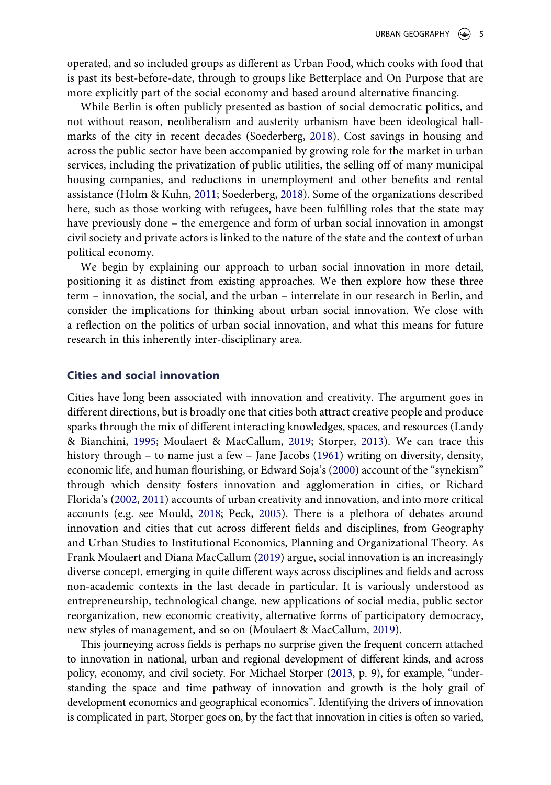operated, and so included groups as different as Urban Food, which cooks with food that is past its best-before-date, through to groups like Betterplace and On Purpose that are more explicitly part of the social economy and based around alternative financing.

While Berlin is often publicly presented as bastion of social democratic politics, and not without reason, neoliberalism and austerity urbanism have been ideological hallmarks of the city in recent decades (Soederberg, [2018\)](#page-22-6). Cost savings in housing and across the public sector have been accompanied by growing role for the market in urban services, including the privatization of public utilities, the selling off of many municipal housing companies, and reductions in unemployment and other benefits and rental assistance (Holm & Kuhn, [2011](#page-21-14); Soederberg, [2018](#page-22-6)). Some of the organizations described here, such as those working with refugees, have been fulfilling roles that the state may have previously done – the emergence and form of urban social innovation in amongst civil society and private actors is linked to the nature of the state and the context of urban political economy.

<span id="page-6-3"></span>We begin by explaining our approach to urban social innovation in more detail, positioning it as distinct from existing approaches. We then explore how these three term – innovation, the social, and the urban – interrelate in our research in Berlin, and consider the implications for thinking about urban social innovation. We close with a reflection on the politics of urban social innovation, and what this means for future research in this inherently inter-disciplinary area.

#### **Cities and social innovation**

<span id="page-6-4"></span><span id="page-6-2"></span><span id="page-6-1"></span><span id="page-6-0"></span>Cities have long been associated with innovation and creativity. The argument goes in different directions, but is broadly one that cities both attract creative people and produce sparks through the mix of different interacting knowledges, spaces, and resources (Landy & Bianchini, [1995;](#page-21-10) Moulaert & MacCallum, [2019;](#page-22-2) Storper, [2013\)](#page-22-7). We can trace this history through – to name just a few – Jane Jacobs ([1961](#page-21-15)) writing on diversity, density, economic life, and human flourishing, or Edward Soja's ([2000](#page-22-8)) account of the "synekism" through which density fosters innovation and agglomeration in cities, or Richard Florida's ([2002,](#page-21-16) [2011\)](#page-21-17) accounts of urban creativity and innovation, and into more critical accounts (e.g. see Mould, [2018;](#page-22-9) Peck, [2005](#page-22-10)). There is a plethora of debates around innovation and cities that cut across different fields and disciplines, from Geography and Urban Studies to Institutional Economics, Planning and Organizational Theory. As Frank Moulaert and Diana MacCallum ([2019](#page-22-2)) argue, social innovation is an increasingly diverse concept, emerging in quite different ways across disciplines and fields and across non-academic contexts in the last decade in particular. It is variously understood as entrepreneurship, technological change, new applications of social media, public sector reorganization, new economic creativity, alternative forms of participatory democracy, new styles of management, and so on (Moulaert & MacCallum, [2019\)](#page-22-2).

<span id="page-6-5"></span>This journeying across fields is perhaps no surprise given the frequent concern attached to innovation in national, urban and regional development of different kinds, and across policy, economy, and civil society. For Michael Storper [\(2013,](#page-22-7) p. 9), for example, "understanding the space and time pathway of innovation and growth is the holy grail of development economics and geographical economics". Identifying the drivers of innovation is complicated in part, Storper goes on, by the fact that innovation in cities is often so varied,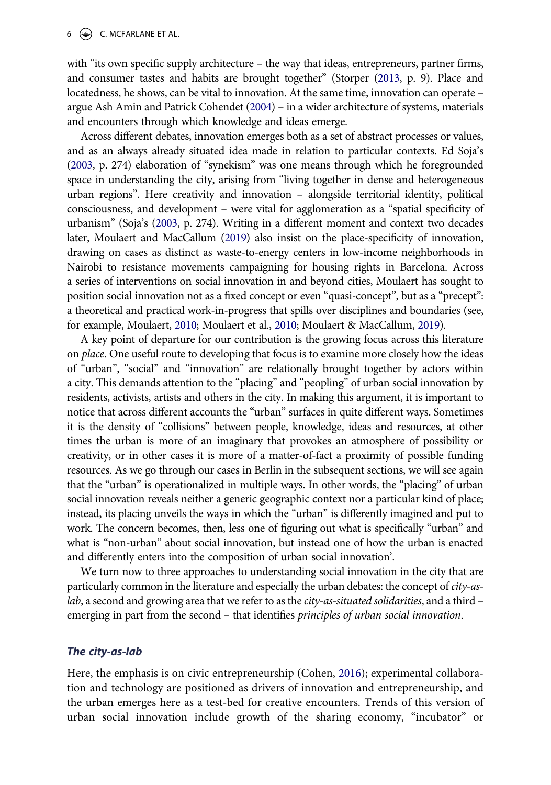with "its own specific supply architecture – the way that ideas, entrepreneurs, partner firms, and consumer tastes and habits are brought together" (Storper [\(2013,](#page-22-7) p. 9). Place and locatedness, he shows, can be vital to innovation. At the same time, innovation can operate – argue Ash Amin and Patrick Cohendet ([2004](#page-21-18)) – in a wider architecture of systems, materials and encounters through which knowledge and ideas emerge.

<span id="page-7-2"></span><span id="page-7-0"></span>Across different debates, innovation emerges both as a set of abstract processes or values, and as an always already situated idea made in relation to particular contexts. Ed Soja's [\(2003,](#page-22-11) p. 274) elaboration of "synekism" was one means through which he foregrounded space in understanding the city, arising from "living together in dense and heterogeneous urban regions". Here creativity and innovation – alongside territorial identity, political consciousness, and development – were vital for agglomeration as a "spatial specificity of urbanism" (Soja's [\(2003,](#page-22-11) p. 274). Writing in a different moment and context two decades later, Moulaert and MacCallum [\(2019\)](#page-22-2) also insist on the place-specificity of innovation, drawing on cases as distinct as waste-to-energy centers in low-income neighborhoods in Nairobi to resistance movements campaigning for housing rights in Barcelona. Across a series of interventions on social innovation in and beyond cities, Moulaert has sought to position social innovation not as a fixed concept or even "quasi-concept", but as a "precept": a theoretical and practical work-in-progress that spills over disciplines and boundaries (see, for example, Moulaert, [2010;](#page-22-12) Moulaert et al., [2010](#page-22-13); Moulaert & MacCallum, [2019\)](#page-22-2).

<span id="page-7-1"></span>A key point of departure for our contribution is the growing focus across this literature on *place*. One useful route to developing that focus is to examine more closely how the ideas of "urban", "social" and "innovation" are relationally brought together by actors within a city. This demands attention to the "placing" and "peopling" of urban social innovation by residents, activists, artists and others in the city. In making this argument, it is important to notice that across different accounts the "urban" surfaces in quite different ways. Sometimes it is the density of "collisions" between people, knowledge, ideas and resources, at other times the urban is more of an imaginary that provokes an atmosphere of possibility or creativity, or in other cases it is more of a matter-of-fact a proximity of possible funding resources. As we go through our cases in Berlin in the subsequent sections, we will see again that the "urban" is operationalized in multiple ways. In other words, the "placing" of urban social innovation reveals neither a generic geographic context nor a particular kind of place; instead, its placing unveils the ways in which the "urban" is differently imagined and put to work. The concern becomes, then, less one of figuring out what is specifically "urban" and what is "non-urban" about social innovation, but instead one of how the urban is enacted and differently enters into the composition of urban social innovation'.

We turn now to three approaches to understanding social innovation in the city that are particularly common in the literature and especially the urban debates: the concept of *city-aslab*, a second and growing area that we refer to as the *city-as-situated solidarities*, and a third – emerging in part from the second – that identifies *principles of urban social innovation*.

#### *The city-as-lab*

Here, the emphasis is on civic entrepreneurship (Cohen, [2016](#page-21-1)); experimental collaboration and technology are positioned as drivers of innovation and entrepreneurship, and the urban emerges here as a test-bed for creative encounters. Trends of this version of urban social innovation include growth of the sharing economy, "incubator" or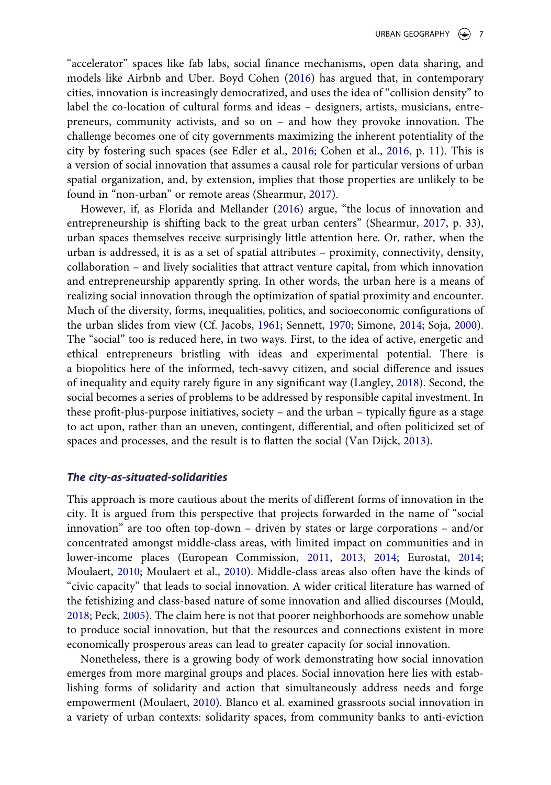"accelerator" spaces like fab labs, social finance mechanisms, open data sharing, and models like Airbnb and Uber. Boyd Cohen [\(2016](#page-21-1)) has argued that, in contemporary cities, innovation is increasingly democratized, and uses the idea of "collision density" to label the co-location of cultural forms and ideas – designers, artists, musicians, entrepreneurs, community activists, and so on – and how they provoke innovation. The challenge becomes one of city governments maximizing the inherent potentiality of the city by fostering such spaces (see Edler et al., [2016](#page-21-19); Cohen et al., [2016,](#page-21-20) p. 11). This is a version of social innovation that assumes a causal role for particular versions of urban spatial organization, and, by extension, implies that those properties are unlikely to be found in "non-urban" or remote areas (Shearmur, [2017](#page-22-3)).

<span id="page-8-2"></span><span id="page-8-0"></span>However, if, as Florida and Mellander [\(2016](#page-21-2)) argue, "the locus of innovation and entrepreneurship is shifting back to the great urban centers" (Shearmur, [2017](#page-22-3), p. 33), urban spaces themselves receive surprisingly little attention here. Or, rather, when the urban is addressed, it is as a set of spatial attributes – proximity, connectivity, density, collaboration – and lively socialities that attract venture capital, from which innovation and entrepreneurship apparently spring. In other words, the urban here is a means of realizing social innovation through the optimization of spatial proximity and encounter. Much of the diversity, forms, inequalities, politics, and socioeconomic configurations of the urban slides from view (Cf. Jacobs, [1961;](#page-21-15) Sennett, [1970](#page-22-14); Simone, [2014;](#page-22-15) Soja, [2000](#page-22-8)). The "social" too is reduced here, in two ways. First, to the idea of active, energetic and ethical entrepreneurs bristling with ideas and experimental potential. There is a biopolitics here of the informed, tech-savvy citizen, and social difference and issues of inequality and equity rarely figure in any significant way (Langley, [2018](#page-22-16)). Second, the social becomes a series of problems to be addressed by responsible capital investment. In these profit-plus-purpose initiatives, society – and the urban – typically figure as a stage to act upon, rather than an uneven, contingent, differential, and often politicized set of spaces and processes, and the result is to flatten the social (Van Dijck, [2013\)](#page-22-17).

#### <span id="page-8-3"></span><span id="page-8-1"></span>*The city-as-situated-solidarities*

This approach is more cautious about the merits of different forms of innovation in the city. It is argued from this perspective that projects forwarded in the name of "social innovation" are too often top-down – driven by states or large corporations – and/or concentrated amongst middle-class areas, with limited impact on communities and in lower-income places (European Commission, [2011](#page-21-3), [2013](#page-21-4), [2014](#page-21-5); Eurostat, [2014;](#page-21-6) Moulaert, [2010](#page-22-12); Moulaert et al., [2010\)](#page-22-13). Middle-class areas also often have the kinds of "civic capacity" that leads to social innovation. A wider critical literature has warned of the fetishizing and class-based nature of some innovation and allied discourses (Mould, [2018](#page-22-9); Peck, [2005](#page-22-10)). The claim here is not that poorer neighborhoods are somehow unable to produce social innovation, but that the resources and connections existent in more economically prosperous areas can lead to greater capacity for social innovation.

Nonetheless, there is a growing body of work demonstrating how social innovation emerges from more marginal groups and places. Social innovation here lies with establishing forms of solidarity and action that simultaneously address needs and forge empowerment (Moulaert, [2010](#page-22-12)). Blanco et al. examined grassroots social innovation in a variety of urban contexts: solidarity spaces, from community banks to anti-eviction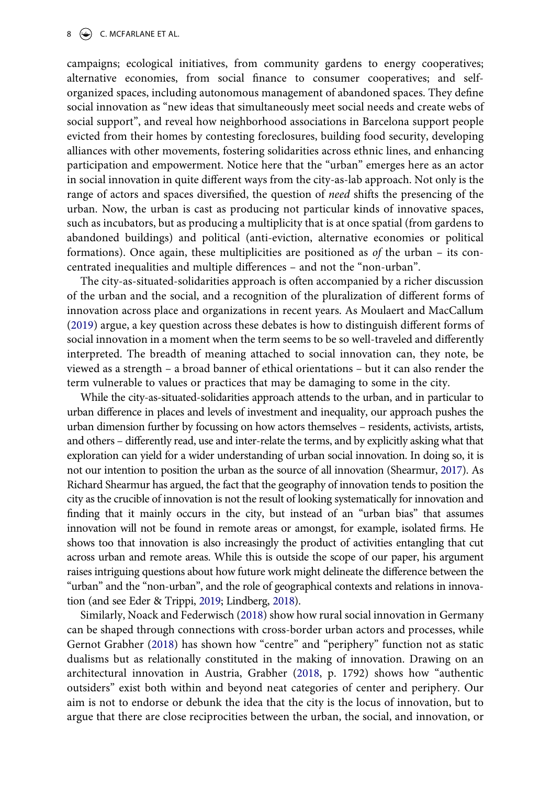#### 8  $\leftrightarrow$  C. MCFARLANE ET AL.

campaigns; ecological initiatives, from community gardens to energy cooperatives; alternative economies, from social finance to consumer cooperatives; and selforganized spaces, including autonomous management of abandoned spaces. They define social innovation as "new ideas that simultaneously meet social needs and create webs of social support", and reveal how neighborhood associations in Barcelona support people evicted from their homes by contesting foreclosures, building food security, developing alliances with other movements, fostering solidarities across ethnic lines, and enhancing participation and empowerment. Notice here that the "urban" emerges here as an actor in social innovation in quite different ways from the city-as-lab approach. Not only is the range of actors and spaces diversified, the question of *need* shifts the presencing of the urban. Now, the urban is cast as producing not particular kinds of innovative spaces, such as incubators, but as producing a multiplicity that is at once spatial (from gardens to abandoned buildings) and political (anti-eviction, alternative economies or political formations). Once again, these multiplicities are positioned as *of* the urban – its concentrated inequalities and multiple differences – and not the "non-urban".

The city-as-situated-solidarities approach is often accompanied by a richer discussion of the urban and the social, and a recognition of the pluralization of different forms of innovation across place and organizations in recent years. As Moulaert and MacCallum ([2019\)](#page-22-2) argue, a key question across these debates is how to distinguish different forms of social innovation in a moment when the term seems to be so well-traveled and differently interpreted. The breadth of meaning attached to social innovation can, they note, be viewed as a strength – a broad banner of ethical orientations – but it can also render the term vulnerable to values or practices that may be damaging to some in the city.

While the city-as-situated-solidarities approach attends to the urban, and in particular to urban difference in places and levels of investment and inequality, our approach pushes the urban dimension further by focussing on how actors themselves – residents, activists, artists, and others – differently read, use and inter-relate the terms, and by explicitly asking what that exploration can yield for a wider understanding of urban social innovation. In doing so, it is not our intention to position the urban as the source of all innovation (Shearmur, [2017\)](#page-22-3). As Richard Shearmur has argued, the fact that the geography of innovation tends to position the city as the crucible of innovation is not the result of looking systematically for innovation and finding that it mainly occurs in the city, but instead of an "urban bias" that assumes innovation will not be found in remote areas or amongst, for example, isolated firms. He shows too that innovation is also increasingly the product of activities entangling that cut across urban and remote areas. While this is outside the scope of our paper, his argument raises intriguing questions about how future work might delineate the difference between the "urban" and the "non-urban", and the role of geographical contexts and relations in innovation (and see Eder & Trippi, [2019;](#page-21-21) Lindberg, [2018\)](#page-22-18).

<span id="page-9-2"></span><span id="page-9-1"></span><span id="page-9-0"></span>Similarly, Noack and Federwisch ([2018\)](#page-22-19) show how rural social innovation in Germany can be shaped through connections with cross-border urban actors and processes, while Gernot Grabher ([2018\)](#page-21-22) has shown how "centre" and "periphery" function not as static dualisms but as relationally constituted in the making of innovation. Drawing on an architectural innovation in Austria, Grabher ([2018](#page-21-22), p. 1792) shows how "authentic outsiders" exist both within and beyond neat categories of center and periphery. Our aim is not to endorse or debunk the idea that the city is the locus of innovation, but to argue that there are close reciprocities between the urban, the social, and innovation, or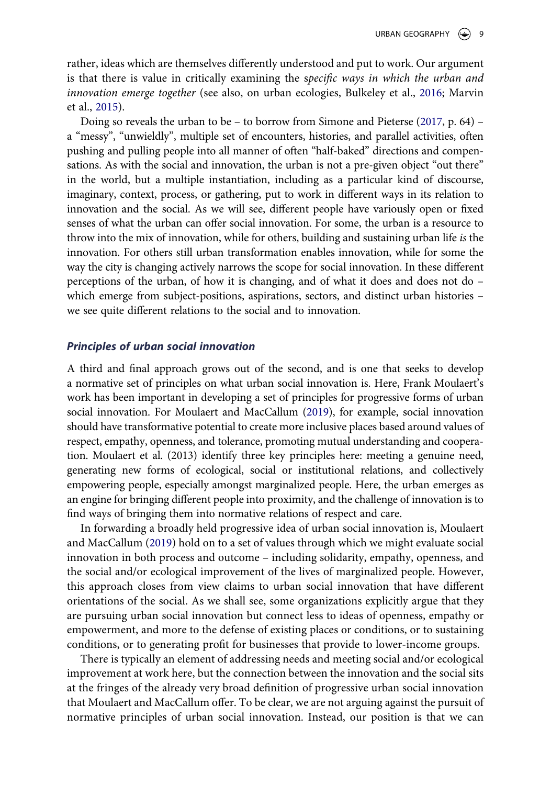rather, ideas which are themselves differently understood and put to work. Our argument is that there is value in critically examining the s*pecific ways in which the urban and innovation emerge together* (see also, on urban ecologies, Bulkeley et al., [2016;](#page-21-0) Marvin et al., [2015\)](#page-22-20).

<span id="page-10-1"></span><span id="page-10-0"></span>Doing so reveals the urban to be – to borrow from Simone and Pieterse [\(2017](#page-22-21), p. 64) – a "messy", "unwieldly", multiple set of encounters, histories, and parallel activities, often pushing and pulling people into all manner of often "half-baked" directions and compensations. As with the social and innovation, the urban is not a pre-given object "out there" in the world, but a multiple instantiation, including as a particular kind of discourse, imaginary, context, process, or gathering, put to work in different ways in its relation to innovation and the social. As we will see, different people have variously open or fixed senses of what the urban can offer social innovation. For some, the urban is a resource to throw into the mix of innovation, while for others, building and sustaining urban life *is* the innovation. For others still urban transformation enables innovation, while for some the way the city is changing actively narrows the scope for social innovation. In these different perceptions of the urban, of how it is changing, and of what it does and does not do – which emerge from subject-positions, aspirations, sectors, and distinct urban histories – we see quite different relations to the social and to innovation.

#### *Principles of urban social innovation*

A third and final approach grows out of the second, and is one that seeks to develop a normative set of principles on what urban social innovation is. Here, Frank Moulaert's work has been important in developing a set of principles for progressive forms of urban social innovation. For Moulaert and MacCallum ([2019](#page-22-2)), for example, social innovation should have transformative potential to create more inclusive places based around values of respect, empathy, openness, and tolerance, promoting mutual understanding and cooperation. Moulaert et al. (2013) identify three key principles here: meeting a genuine need, generating new forms of ecological, social or institutional relations, and collectively empowering people, especially amongst marginalized people. Here, the urban emerges as an engine for bringing different people into proximity, and the challenge of innovation is to find ways of bringing them into normative relations of respect and care.

In forwarding a broadly held progressive idea of urban social innovation is, Moulaert and MacCallum ([2019](#page-22-2)) hold on to a set of values through which we might evaluate social innovation in both process and outcome – including solidarity, empathy, openness, and the social and/or ecological improvement of the lives of marginalized people. However, this approach closes from view claims to urban social innovation that have different orientations of the social. As we shall see, some organizations explicitly argue that they are pursuing urban social innovation but connect less to ideas of openness, empathy or empowerment, and more to the defense of existing places or conditions, or to sustaining conditions, or to generating profit for businesses that provide to lower-income groups.

There is typically an element of addressing needs and meeting social and/or ecological improvement at work here, but the connection between the innovation and the social sits at the fringes of the already very broad definition of progressive urban social innovation that Moulaert and MacCallum offer. To be clear, we are not arguing against the pursuit of normative principles of urban social innovation. Instead, our position is that we can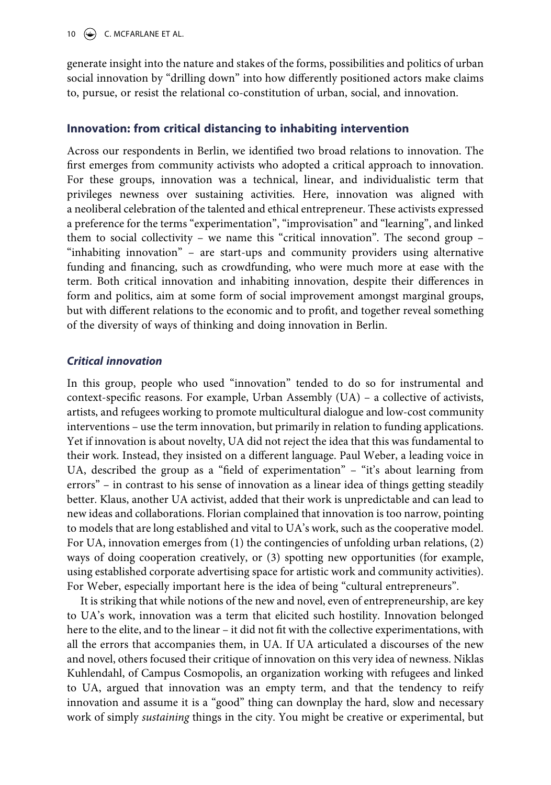generate insight into the nature and stakes of the forms, possibilities and politics of urban social innovation by "drilling down" into how differently positioned actors make claims to, pursue, or resist the relational co-constitution of urban, social, and innovation.

## **Innovation: from critical distancing to inhabiting intervention**

Across our respondents in Berlin, we identified two broad relations to innovation. The first emerges from community activists who adopted a critical approach to innovation. For these groups, innovation was a technical, linear, and individualistic term that privileges newness over sustaining activities. Here, innovation was aligned with a neoliberal celebration of the talented and ethical entrepreneur. These activists expressed a preference for the terms "experimentation", "improvisation" and "learning", and linked them to social collectivity – we name this "critical innovation". The second group – "inhabiting innovation" – are start-ups and community providers using alternative funding and financing, such as crowdfunding, who were much more at ease with the term. Both critical innovation and inhabiting innovation, despite their differences in form and politics, aim at some form of social improvement amongst marginal groups, but with different relations to the economic and to profit, and together reveal something of the diversity of ways of thinking and doing innovation in Berlin.

## *Critical innovation*

In this group, people who used "innovation" tended to do so for instrumental and context-specific reasons. For example, Urban Assembly (UA) – a collective of activists, artists, and refugees working to promote multicultural dialogue and low-cost community interventions – use the term innovation, but primarily in relation to funding applications. Yet if innovation is about novelty, UA did not reject the idea that this was fundamental to their work. Instead, they insisted on a different language. Paul Weber, a leading voice in UA, described the group as a "field of experimentation" – "it's about learning from errors" – in contrast to his sense of innovation as a linear idea of things getting steadily better. Klaus, another UA activist, added that their work is unpredictable and can lead to new ideas and collaborations. Florian complained that innovation is too narrow, pointing to models that are long established and vital to UA's work, such as the cooperative model. For UA, innovation emerges from (1) the contingencies of unfolding urban relations, (2) ways of doing cooperation creatively, or (3) spotting new opportunities (for example, using established corporate advertising space for artistic work and community activities). For Weber, especially important here is the idea of being "cultural entrepreneurs".

It is striking that while notions of the new and novel, even of entrepreneurship, are key to UA's work, innovation was a term that elicited such hostility. Innovation belonged here to the elite, and to the linear – it did not fit with the collective experimentations, with all the errors that accompanies them, in UA. If UA articulated a discourses of the new and novel, others focused their critique of innovation on this very idea of newness. Niklas Kuhlendahl, of Campus Cosmopolis, an organization working with refugees and linked to UA, argued that innovation was an empty term, and that the tendency to reify innovation and assume it is a "good" thing can downplay the hard, slow and necessary work of simply *sustaining* things in the city. You might be creative or experimental, but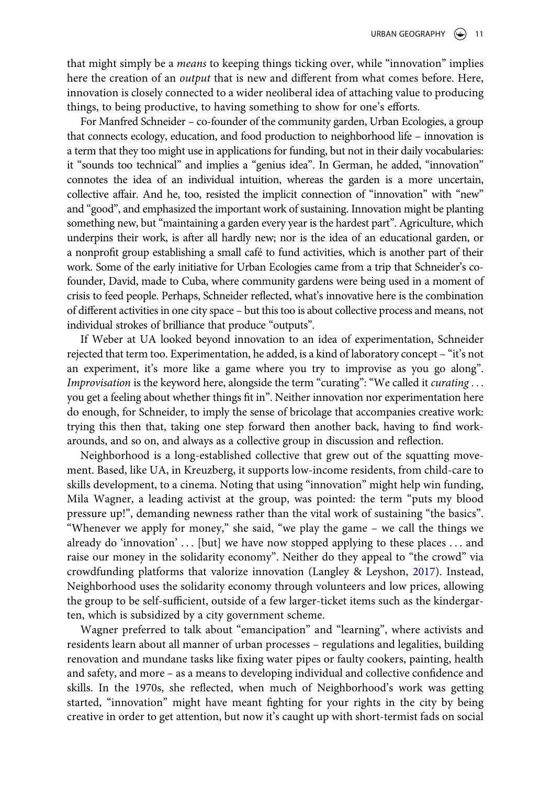that might simply be a *means* to keeping things ticking over, while "innovation" implies here the creation of an *output* that is new and different from what comes before. Here, innovation is closely connected to a wider neoliberal idea of attaching value to producing things, to being productive, to having something to show for one's efforts.

For Manfred Schneider – co-founder of the community garden, Urban Ecologies, a group that connects ecology, education, and food production to neighborhood life – innovation is a term that they too might use in applications for funding, but not in their daily vocabularies: it "sounds too technical" and implies a "genius idea". In German, he added, "innovation" connotes the idea of an individual intuition, whereas the garden is a more uncertain, collective affair. And he, too, resisted the implicit connection of "innovation" with "new" and "good", and emphasized the important work of sustaining. Innovation might be planting something new, but "maintaining a garden every year is the hardest part". Agriculture, which underpins their work, is after all hardly new; nor is the idea of an educational garden, or a nonprofit group establishing a small café to fund activities, which is another part of their work. Some of the early initiative for Urban Ecologies came from a trip that Schneider's cofounder, David, made to Cuba, where community gardens were being used in a moment of crisis to feed people. Perhaps, Schneider reflected, what's innovative here is the combination of different activities in one city space – but this too is about collective process and means, not individual strokes of brilliance that produce "outputs".

If Weber at UA looked beyond innovation to an idea of experimentation, Schneider rejected that term too. Experimentation, he added, is a kind of laboratory concept – "it's not an experiment, it's more like a game where you try to improvise as you go along". *Improvisation* is the keyword here, alongside the term "curating": "We called it *curating* . . . you get a feeling about whether things fit in". Neither innovation nor experimentation here do enough, for Schneider, to imply the sense of bricolage that accompanies creative work: trying this then that, taking one step forward then another back, having to find workarounds, and so on, and always as a collective group in discussion and reflection.

Neighborhood is a long-established collective that grew out of the squatting movement. Based, like UA, in Kreuzberg, it supports low-income residents, from child-care to skills development, to a cinema. Noting that using "innovation" might help win funding, Mila Wagner, a leading activist at the group, was pointed: the term "puts my blood pressure up!", demanding newness rather than the vital work of sustaining "the basics". "Whenever we apply for money," she said, "we play the game – we call the things we already do 'innovation' . . . [but] we have now stopped applying to these places . . . and raise our money in the solidarity economy". Neither do they appeal to "the crowd" via crowdfunding platforms that valorize innovation (Langley & Leyshon, [2017\)](#page-22-22). Instead, Neighborhood uses the solidarity economy through volunteers and low prices, allowing the group to be self-sufficient, outside of a few larger-ticket items such as the kindergarten, which is subsidized by a city government scheme.

<span id="page-12-0"></span>Wagner preferred to talk about "emancipation" and "learning", where activists and residents learn about all manner of urban processes – regulations and legalities, building renovation and mundane tasks like fixing water pipes or faulty cookers, painting, health and safety, and more – as a means to developing individual and collective confidence and skills. In the 1970s, she reflected, when much of Neighborhood's work was getting started, "innovation" might have meant fighting for your rights in the city by being creative in order to get attention, but now it's caught up with short-termist fads on social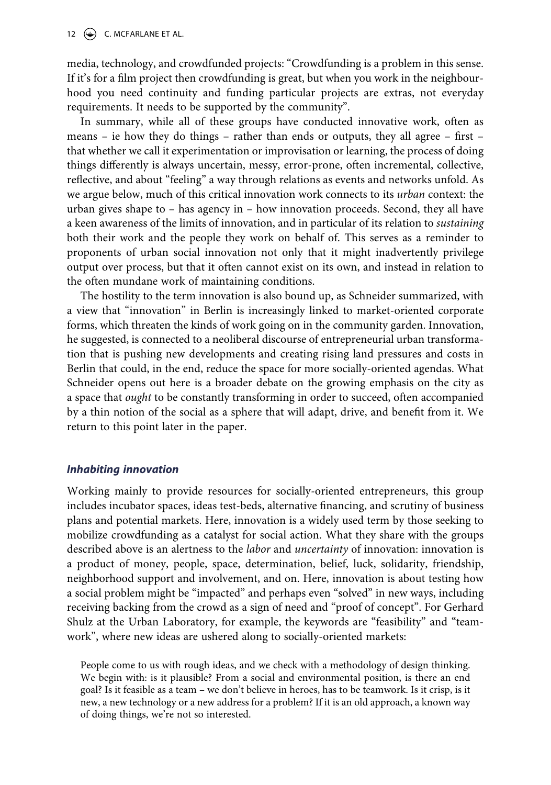media, technology, and crowdfunded projects: "Crowdfunding is a problem in this sense. If it's for a film project then crowdfunding is great, but when you work in the neighbourhood you need continuity and funding particular projects are extras, not everyday requirements. It needs to be supported by the community".

In summary, while all of these groups have conducted innovative work, often as means – ie how they do things – rather than ends or outputs, they all agree – first – that whether we call it experimentation or improvisation or learning, the process of doing things differently is always uncertain, messy, error-prone, often incremental, collective, reflective, and about "feeling" a way through relations as events and networks unfold. As we argue below, much of this critical innovation work connects to its *urban* context: the urban gives shape to – has agency in – how innovation proceeds. Second, they all have a keen awareness of the limits of innovation, and in particular of its relation to *sustaining*  both their work and the people they work on behalf of. This serves as a reminder to proponents of urban social innovation not only that it might inadvertently privilege output over process, but that it often cannot exist on its own, and instead in relation to the often mundane work of maintaining conditions.

The hostility to the term innovation is also bound up, as Schneider summarized, with a view that "innovation" in Berlin is increasingly linked to market-oriented corporate forms, which threaten the kinds of work going on in the community garden. Innovation, he suggested, is connected to a neoliberal discourse of entrepreneurial urban transformation that is pushing new developments and creating rising land pressures and costs in Berlin that could, in the end, reduce the space for more socially-oriented agendas. What Schneider opens out here is a broader debate on the growing emphasis on the city as a space that *ought* to be constantly transforming in order to succeed, often accompanied by a thin notion of the social as a sphere that will adapt, drive, and benefit from it. We return to this point later in the paper.

#### *Inhabiting innovation*

Working mainly to provide resources for socially-oriented entrepreneurs, this group includes incubator spaces, ideas test-beds, alternative financing, and scrutiny of business plans and potential markets. Here, innovation is a widely used term by those seeking to mobilize crowdfunding as a catalyst for social action. What they share with the groups described above is an alertness to the *labor* and *uncertainty* of innovation: innovation is a product of money, people, space, determination, belief, luck, solidarity, friendship, neighborhood support and involvement, and on. Here, innovation is about testing how a social problem might be "impacted" and perhaps even "solved" in new ways, including receiving backing from the crowd as a sign of need and "proof of concept". For Gerhard Shulz at the Urban Laboratory, for example, the keywords are "feasibility" and "teamwork", where new ideas are ushered along to socially-oriented markets:

People come to us with rough ideas, and we check with a methodology of design thinking. We begin with: is it plausible? From a social and environmental position, is there an end goal? Is it feasible as a team – we don't believe in heroes, has to be teamwork. Is it crisp, is it new, a new technology or a new address for a problem? If it is an old approach, a known way of doing things, we're not so interested.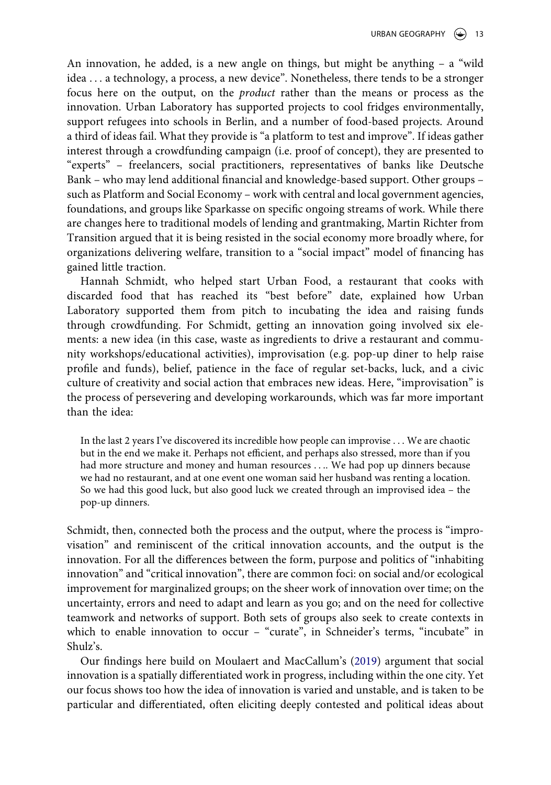An innovation, he added, is a new angle on things, but might be anything – a "wild idea . . . a technology, a process, a new device". Nonetheless, there tends to be a stronger focus here on the output, on the *product* rather than the means or process as the innovation. Urban Laboratory has supported projects to cool fridges environmentally, support refugees into schools in Berlin, and a number of food-based projects. Around a third of ideas fail. What they provide is "a platform to test and improve". If ideas gather interest through a crowdfunding campaign (i.e. proof of concept), they are presented to "experts" – freelancers, social practitioners, representatives of banks like Deutsche Bank – who may lend additional financial and knowledge-based support. Other groups – such as Platform and Social Economy – work with central and local government agencies, foundations, and groups like Sparkasse on specific ongoing streams of work. While there are changes here to traditional models of lending and grantmaking, Martin Richter from Transition argued that it is being resisted in the social economy more broadly where, for organizations delivering welfare, transition to a "social impact" model of financing has gained little traction.

Hannah Schmidt, who helped start Urban Food, a restaurant that cooks with discarded food that has reached its "best before" date, explained how Urban Laboratory supported them from pitch to incubating the idea and raising funds through crowdfunding. For Schmidt, getting an innovation going involved six elements: a new idea (in this case, waste as ingredients to drive a restaurant and community workshops/educational activities), improvisation (e.g. pop-up diner to help raise profile and funds), belief, patience in the face of regular set-backs, luck, and a civic culture of creativity and social action that embraces new ideas. Here, "improvisation" is the process of persevering and developing workarounds, which was far more important than the idea:

In the last 2 years I've discovered its incredible how people can improvise . . . We are chaotic but in the end we make it. Perhaps not efficient, and perhaps also stressed, more than if you had more structure and money and human resources . . .. We had pop up dinners because we had no restaurant, and at one event one woman said her husband was renting a location. So we had this good luck, but also good luck we created through an improvised idea – the pop-up dinners.

Schmidt, then, connected both the process and the output, where the process is "improvisation" and reminiscent of the critical innovation accounts, and the output is the innovation. For all the differences between the form, purpose and politics of "inhabiting innovation" and "critical innovation", there are common foci: on social and/or ecological improvement for marginalized groups; on the sheer work of innovation over time; on the uncertainty, errors and need to adapt and learn as you go; and on the need for collective teamwork and networks of support. Both sets of groups also seek to create contexts in which to enable innovation to occur - "curate", in Schneider's terms, "incubate" in Shulz's.

Our findings here build on Moulaert and MacCallum's [\(2019\)](#page-22-2) argument that social innovation is a spatially differentiated work in progress, including within the one city. Yet our focus shows too how the idea of innovation is varied and unstable, and is taken to be particular and differentiated, often eliciting deeply contested and political ideas about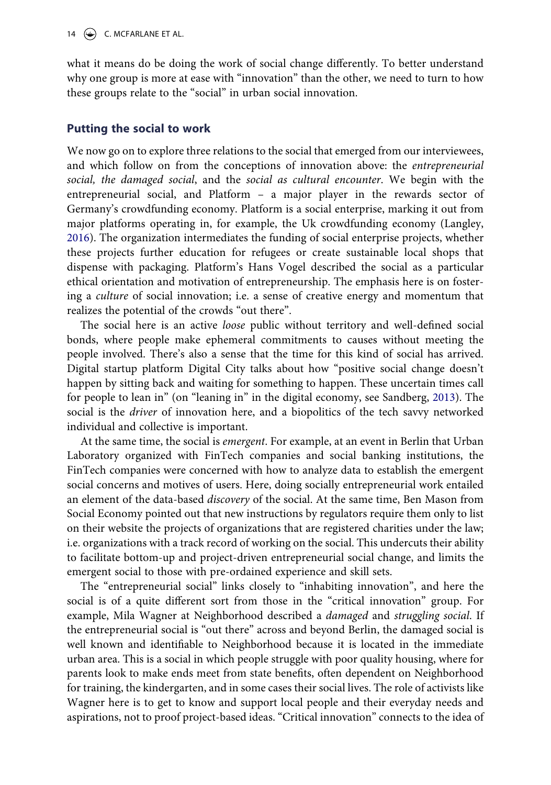what it means do be doing the work of social change differently. To better understand why one group is more at ease with "innovation" than the other, we need to turn to how these groups relate to the "social" in urban social innovation.

#### **Putting the social to work**

<span id="page-15-0"></span>We now go on to explore three relations to the social that emerged from our interviewees, and which follow on from the conceptions of innovation above: the *entrepreneurial social, the damaged social*, and the *social as cultural encounter*. We begin with the entrepreneurial social, and Platform – a major player in the rewards sector of Germany's crowdfunding economy. Platform is a social enterprise, marking it out from major platforms operating in, for example, the Uk crowdfunding economy (Langley, [2016](#page-22-23)). The organization intermediates the funding of social enterprise projects, whether these projects further education for refugees or create sustainable local shops that dispense with packaging. Platform's Hans Vogel described the social as a particular ethical orientation and motivation of entrepreneurship. The emphasis here is on fostering a *culture* of social innovation; i.e. a sense of creative energy and momentum that realizes the potential of the crowds "out there".

The social here is an active *loose* public without territory and well-defined social bonds, where people make ephemeral commitments to causes without meeting the people involved. There's also a sense that the time for this kind of social has arrived. Digital startup platform Digital City talks about how "positive social change doesn't happen by sitting back and waiting for something to happen. These uncertain times call for people to lean in" (on "leaning in" in the digital economy, see Sandberg, [2013\)](#page-22-24). The social is the *driver* of innovation here, and a biopolitics of the tech savvy networked individual and collective is important.

<span id="page-15-1"></span>At the same time, the social is *emergent*. For example, at an event in Berlin that Urban Laboratory organized with FinTech companies and social banking institutions, the FinTech companies were concerned with how to analyze data to establish the emergent social concerns and motives of users. Here, doing socially entrepreneurial work entailed an element of the data-based *discovery* of the social. At the same time, Ben Mason from Social Economy pointed out that new instructions by regulators require them only to list on their website the projects of organizations that are registered charities under the law; i.e. organizations with a track record of working on the social. This undercuts their ability to facilitate bottom-up and project-driven entrepreneurial social change, and limits the emergent social to those with pre-ordained experience and skill sets.

The "entrepreneurial social" links closely to "inhabiting innovation", and here the social is of a quite different sort from those in the "critical innovation" group. For example, Mila Wagner at Neighborhood described a *damaged* and *struggling social*. If the entrepreneurial social is "out there" across and beyond Berlin, the damaged social is well known and identifiable to Neighborhood because it is located in the immediate urban area. This is a social in which people struggle with poor quality housing, where for parents look to make ends meet from state benefits, often dependent on Neighborhood for training, the kindergarten, and in some cases their social lives. The role of activists like Wagner here is to get to know and support local people and their everyday needs and aspirations, not to proof project-based ideas. "Critical innovation" connects to the idea of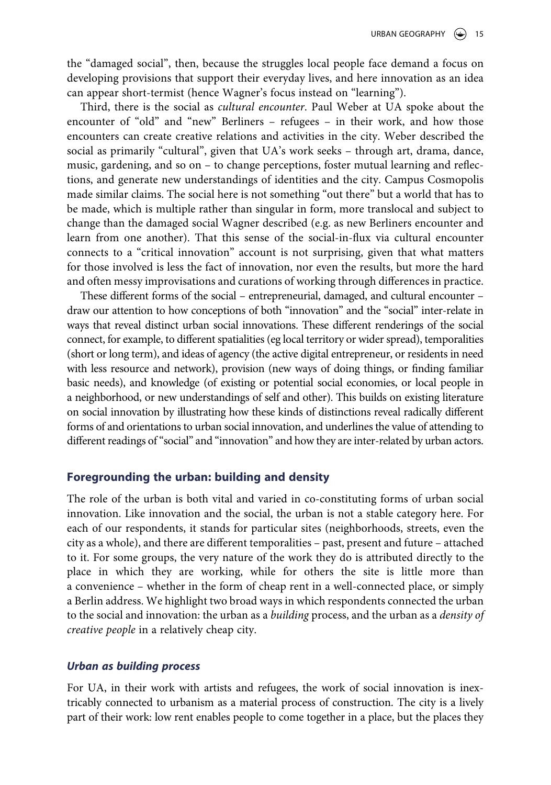the "damaged social", then, because the struggles local people face demand a focus on developing provisions that support their everyday lives, and here innovation as an idea can appear short-termist (hence Wagner's focus instead on "learning").

Third, there is the social as *cultural encounter*. Paul Weber at UA spoke about the encounter of "old" and "new" Berliners – refugees – in their work, and how those encounters can create creative relations and activities in the city. Weber described the social as primarily "cultural", given that UA's work seeks – through art, drama, dance, music, gardening, and so on – to change perceptions, foster mutual learning and reflections, and generate new understandings of identities and the city. Campus Cosmopolis made similar claims. The social here is not something "out there" but a world that has to be made, which is multiple rather than singular in form, more translocal and subject to change than the damaged social Wagner described (e.g. as new Berliners encounter and learn from one another). That this sense of the social-in-flux via cultural encounter connects to a "critical innovation" account is not surprising, given that what matters for those involved is less the fact of innovation, nor even the results, but more the hard and often messy improvisations and curations of working through differences in practice.

These different forms of the social – entrepreneurial, damaged, and cultural encounter – draw our attention to how conceptions of both "innovation" and the "social" inter-relate in ways that reveal distinct urban social innovations. These different renderings of the social connect, for example, to different spatialities (eg local territory or wider spread), temporalities (short or long term), and ideas of agency (the active digital entrepreneur, or residents in need with less resource and network), provision (new ways of doing things, or finding familiar basic needs), and knowledge (of existing or potential social economies, or local people in a neighborhood, or new understandings of self and other). This builds on existing literature on social innovation by illustrating how these kinds of distinctions reveal radically different forms of and orientations to urban social innovation, and underlines the value of attending to different readings of "social" and "innovation" and how they are inter-related by urban actors.

## **Foregrounding the urban: building and density**

The role of the urban is both vital and varied in co-constituting forms of urban social innovation. Like innovation and the social, the urban is not a stable category here. For each of our respondents, it stands for particular sites (neighborhoods, streets, even the city as a whole), and there are different temporalities – past, present and future – attached to it. For some groups, the very nature of the work they do is attributed directly to the place in which they are working, while for others the site is little more than a convenience – whether in the form of cheap rent in a well-connected place, or simply a Berlin address. We highlight two broad ways in which respondents connected the urban to the social and innovation: the urban as a *building* process, and the urban as a *density of creative people* in a relatively cheap city.

#### *Urban as building process*

For UA, in their work with artists and refugees, the work of social innovation is inextricably connected to urbanism as a material process of construction. The city is a lively part of their work: low rent enables people to come together in a place, but the places they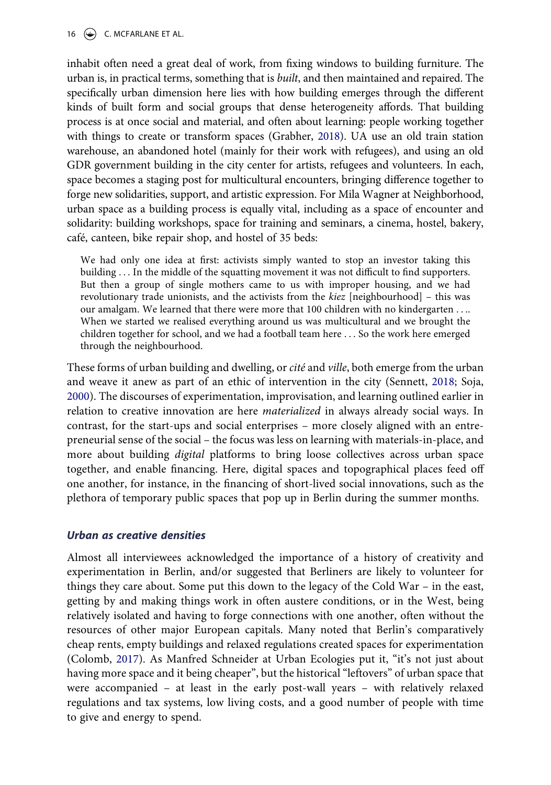16  $\left(\rightarrow\right)$  C. MCFARLANE ET AL.

inhabit often need a great deal of work, from fixing windows to building furniture. The urban is, in practical terms, something that is *built*, and then maintained and repaired. The specifically urban dimension here lies with how building emerges through the different kinds of built form and social groups that dense heterogeneity affords. That building process is at once social and material, and often about learning: people working together with things to create or transform spaces (Grabher, [2018](#page-21-22)). UA use an old train station warehouse, an abandoned hotel (mainly for their work with refugees), and using an old GDR government building in the city center for artists, refugees and volunteers. In each, space becomes a staging post for multicultural encounters, bringing difference together to forge new solidarities, support, and artistic expression. For Mila Wagner at Neighborhood, urban space as a building process is equally vital, including as a space of encounter and solidarity: building workshops, space for training and seminars, a cinema, hostel, bakery, café, canteen, bike repair shop, and hostel of 35 beds:

We had only one idea at first: activists simply wanted to stop an investor taking this building . . . In the middle of the squatting movement it was not difficult to find supporters. But then a group of single mothers came to us with improper housing, and we had revolutionary trade unionists, and the activists from the *kiez* [neighbourhood] – this was our amalgam. We learned that there were more that 100 children with no kindergarten . . .. When we started we realised everything around us was multicultural and we brought the children together for school, and we had a football team here . . . So the work here emerged through the neighbourhood.

<span id="page-17-0"></span>These forms of urban building and dwelling, or *cité* and *ville*, both emerge from the urban and weave it anew as part of an ethic of intervention in the city (Sennett, [2018;](#page-22-25) Soja, [2000](#page-22-8)). The discourses of experimentation, improvisation, and learning outlined earlier in relation to creative innovation are here *materialized* in always already social ways. In contrast, for the start-ups and social enterprises – more closely aligned with an entrepreneurial sense of the social – the focus was less on learning with materials-in-place, and more about building *digital* platforms to bring loose collectives across urban space together, and enable financing. Here, digital spaces and topographical places feed off one another, for instance, in the financing of short-lived social innovations, such as the plethora of temporary public spaces that pop up in Berlin during the summer months.

#### *Urban as creative densities*

Almost all interviewees acknowledged the importance of a history of creativity and experimentation in Berlin, and/or suggested that Berliners are likely to volunteer for things they care about. Some put this down to the legacy of the Cold War – in the east, getting by and making things work in often austere conditions, or in the West, being relatively isolated and having to forge connections with one another, often without the resources of other major European capitals. Many noted that Berlin's comparatively cheap rents, empty buildings and relaxed regulations created spaces for experimentation (Colomb, [2017](#page-21-11)). As Manfred Schneider at Urban Ecologies put it, "it's not just about having more space and it being cheaper", but the historical "leftovers" of urban space that were accompanied – at least in the early post-wall years – with relatively relaxed regulations and tax systems, low living costs, and a good number of people with time to give and energy to spend.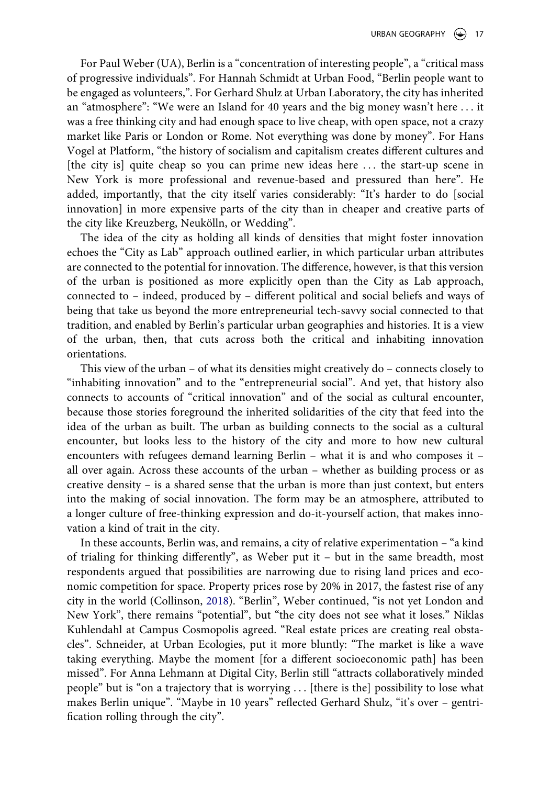For Paul Weber (UA), Berlin is a "concentration of interesting people", a "critical mass of progressive individuals". For Hannah Schmidt at Urban Food, "Berlin people want to be engaged as volunteers,". For Gerhard Shulz at Urban Laboratory, the city has inherited an "atmosphere": "We were an Island for 40 years and the big money wasn't here . . . it was a free thinking city and had enough space to live cheap, with open space, not a crazy market like Paris or London or Rome. Not everything was done by money". For Hans Vogel at Platform, "the history of socialism and capitalism creates different cultures and [the city is] quite cheap so you can prime new ideas here . . . the start-up scene in New York is more professional and revenue-based and pressured than here". He added, importantly, that the city itself varies considerably: "It's harder to do [social innovation] in more expensive parts of the city than in cheaper and creative parts of the city like Kreuzberg, Neukölln, or Wedding".

The idea of the city as holding all kinds of densities that might foster innovation echoes the "City as Lab" approach outlined earlier, in which particular urban attributes are connected to the potential for innovation. The difference, however, is that this version of the urban is positioned as more explicitly open than the City as Lab approach, connected to – indeed, produced by – different political and social beliefs and ways of being that take us beyond the more entrepreneurial tech-savvy social connected to that tradition, and enabled by Berlin's particular urban geographies and histories. It is a view of the urban, then, that cuts across both the critical and inhabiting innovation orientations.

This view of the urban – of what its densities might creatively do – connects closely to "inhabiting innovation" and to the "entrepreneurial social". And yet, that history also connects to accounts of "critical innovation" and of the social as cultural encounter, because those stories foreground the inherited solidarities of the city that feed into the idea of the urban as built. The urban as building connects to the social as a cultural encounter, but looks less to the history of the city and more to how new cultural encounters with refugees demand learning Berlin – what it is and who composes it – all over again. Across these accounts of the urban – whether as building process or as creative density – is a shared sense that the urban is more than just context, but enters into the making of social innovation. The form may be an atmosphere, attributed to a longer culture of free-thinking expression and do-it-yourself action, that makes innovation a kind of trait in the city.

<span id="page-18-0"></span>In these accounts, Berlin was, and remains, a city of relative experimentation – "a kind of trialing for thinking differently", as Weber put it – but in the same breadth, most respondents argued that possibilities are narrowing due to rising land prices and economic competition for space. Property prices rose by 20% in 2017, the fastest rise of any city in the world (Collinson, [2018\)](#page-21-23). "Berlin", Weber continued, "is not yet London and New York", there remains "potential", but "the city does not see what it loses." Niklas Kuhlendahl at Campus Cosmopolis agreed. "Real estate prices are creating real obstacles". Schneider, at Urban Ecologies, put it more bluntly: "The market is like a wave taking everything. Maybe the moment [for a different socioeconomic path] has been missed". For Anna Lehmann at Digital City, Berlin still "attracts collaboratively minded people" but is "on a trajectory that is worrying . . . [there is the] possibility to lose what makes Berlin unique". "Maybe in 10 years" reflected Gerhard Shulz, "it's over – gentrification rolling through the city".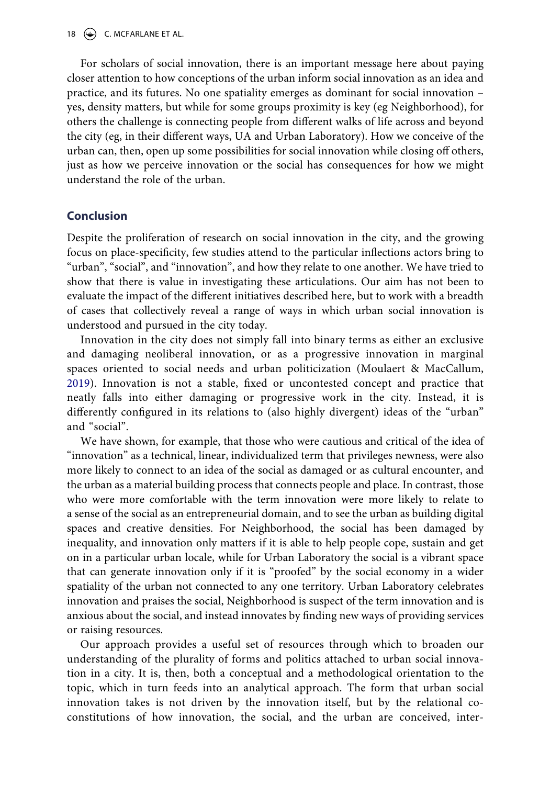For scholars of social innovation, there is an important message here about paying closer attention to how conceptions of the urban inform social innovation as an idea and practice, and its futures. No one spatiality emerges as dominant for social innovation – yes, density matters, but while for some groups proximity is key (eg Neighborhood), for others the challenge is connecting people from different walks of life across and beyond the city (eg, in their different ways, UA and Urban Laboratory). How we conceive of the urban can, then, open up some possibilities for social innovation while closing off others, just as how we perceive innovation or the social has consequences for how we might understand the role of the urban.

#### **Conclusion**

Despite the proliferation of research on social innovation in the city, and the growing focus on place-specificity, few studies attend to the particular inflections actors bring to "urban", "social", and "innovation", and how they relate to one another. We have tried to show that there is value in investigating these articulations. Our aim has not been to evaluate the impact of the different initiatives described here, but to work with a breadth of cases that collectively reveal a range of ways in which urban social innovation is understood and pursued in the city today.

Innovation in the city does not simply fall into binary terms as either an exclusive and damaging neoliberal innovation, or as a progressive innovation in marginal spaces oriented to social needs and urban politicization (Moulaert & MacCallum, [2019\)](#page-22-2). Innovation is not a stable, fixed or uncontested concept and practice that neatly falls into either damaging or progressive work in the city. Instead, it is differently configured in its relations to (also highly divergent) ideas of the "urban" and "social".

We have shown, for example, that those who were cautious and critical of the idea of "innovation" as a technical, linear, individualized term that privileges newness, were also more likely to connect to an idea of the social as damaged or as cultural encounter, and the urban as a material building process that connects people and place. In contrast, those who were more comfortable with the term innovation were more likely to relate to a sense of the social as an entrepreneurial domain, and to see the urban as building digital spaces and creative densities. For Neighborhood, the social has been damaged by inequality, and innovation only matters if it is able to help people cope, sustain and get on in a particular urban locale, while for Urban Laboratory the social is a vibrant space that can generate innovation only if it is "proofed" by the social economy in a wider spatiality of the urban not connected to any one territory. Urban Laboratory celebrates innovation and praises the social, Neighborhood is suspect of the term innovation and is anxious about the social, and instead innovates by finding new ways of providing services or raising resources.

Our approach provides a useful set of resources through which to broaden our understanding of the plurality of forms and politics attached to urban social innovation in a city. It is, then, both a conceptual and a methodological orientation to the topic, which in turn feeds into an analytical approach. The form that urban social innovation takes is not driven by the innovation itself, but by the relational coconstitutions of how innovation, the social, and the urban are conceived, inter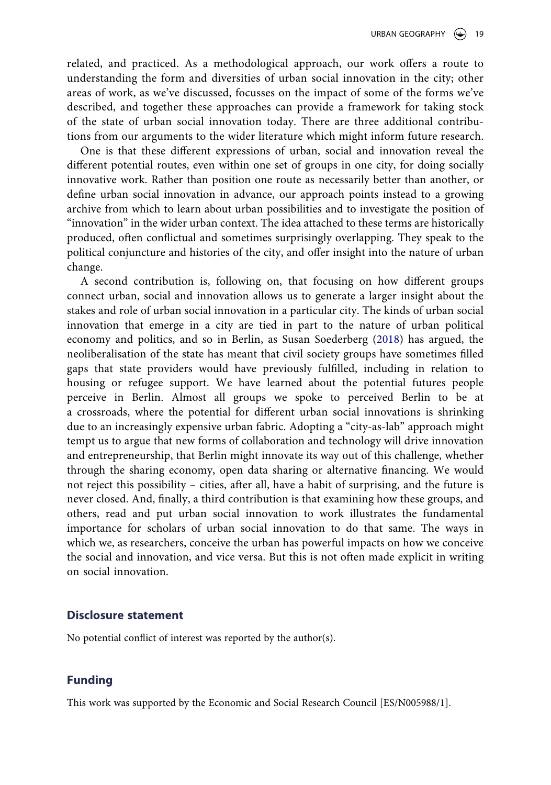related, and practiced. As a methodological approach, our work offers a route to understanding the form and diversities of urban social innovation in the city; other areas of work, as we've discussed, focusses on the impact of some of the forms we've described, and together these approaches can provide a framework for taking stock of the state of urban social innovation today. There are three additional contributions from our arguments to the wider literature which might inform future research.

One is that these different expressions of urban, social and innovation reveal the different potential routes, even within one set of groups in one city, for doing socially innovative work. Rather than position one route as necessarily better than another, or define urban social innovation in advance, our approach points instead to a growing archive from which to learn about urban possibilities and to investigate the position of "innovation" in the wider urban context. The idea attached to these terms are historically produced, often conflictual and sometimes surprisingly overlapping. They speak to the political conjuncture and histories of the city, and offer insight into the nature of urban change.

A second contribution is, following on, that focusing on how different groups connect urban, social and innovation allows us to generate a larger insight about the stakes and role of urban social innovation in a particular city. The kinds of urban social innovation that emerge in a city are tied in part to the nature of urban political economy and politics, and so in Berlin, as Susan Soederberg [\(2018\)](#page-22-6) has argued, the neoliberalisation of the state has meant that civil society groups have sometimes filled gaps that state providers would have previously fulfilled, including in relation to housing or refugee support. We have learned about the potential futures people perceive in Berlin. Almost all groups we spoke to perceived Berlin to be at a crossroads, where the potential for different urban social innovations is shrinking due to an increasingly expensive urban fabric. Adopting a "city-as-lab" approach might tempt us to argue that new forms of collaboration and technology will drive innovation and entrepreneurship, that Berlin might innovate its way out of this challenge, whether through the sharing economy, open data sharing or alternative financing. We would not reject this possibility – cities, after all, have a habit of surprising, and the future is never closed. And, finally, a third contribution is that examining how these groups, and others, read and put urban social innovation to work illustrates the fundamental importance for scholars of urban social innovation to do that same. The ways in which we, as researchers, conceive the urban has powerful impacts on how we conceive the social and innovation, and vice versa. But this is not often made explicit in writing on social innovation.

#### **Disclosure statement**

No potential conflict of interest was reported by the author(s).

#### **Funding**

This work was supported by the Economic and Social Research Council [ES/N005988/1].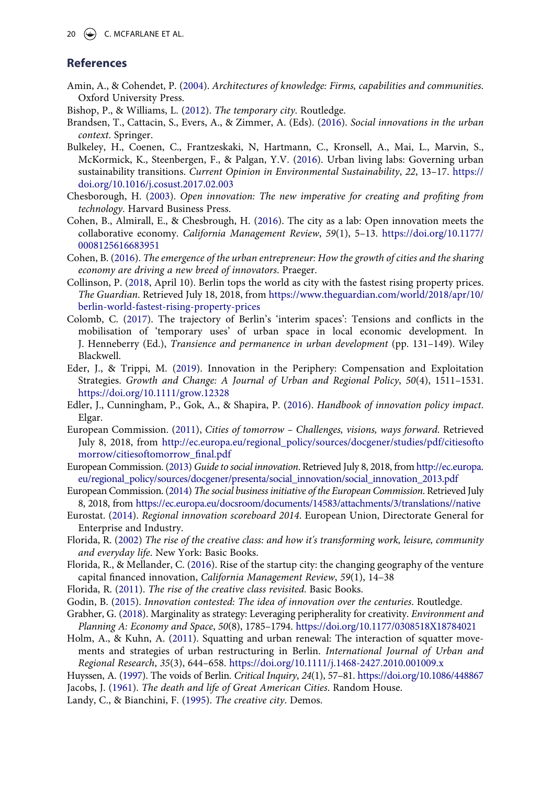#### **References**

- <span id="page-21-18"></span>Amin, A., & Cohendet, P. ([2004](#page-7-0)). *Architectures of knowledge: Firms, capabilities and communities*. Oxford University Press.
- <span id="page-21-13"></span>Bishop, P., & Williams, L. ([2012\)](#page-5-0). *The temporary city*. Routledge.
- <span id="page-21-8"></span>Brandsen, T., Cattacin, S., Evers, A., & Zimmer, A. (Eds). ([2016\)](#page-3-0). *Social innovations in the urban context*. Springer.
- <span id="page-21-0"></span>Bulkeley, H., Coenen, C., Frantzeskaki, N, Hartmann, C., Kronsell, A., Mai, L., Marvin, S., McKormick, K., Steenbergen, F., & Palgan, Y.V. ([2016](#page-2-2)). Urban living labs: Governing urban sustainability transitions. *Current Opinion in Environmental Sustainability*, *22*, 13–17. [https://](https://doi.org/10.1016/j.cosust.2017.02.003) [doi.org/10.1016/j.cosust.2017.02.003](https://doi.org/10.1016/j.cosust.2017.02.003)
- <span id="page-21-9"></span>Chesborough, H. ([2003](#page-4-0)). *Open innovation: The new imperative for creating and profiting from technology*. Harvard Business Press.
- <span id="page-21-20"></span>Cohen, B., Almirall, E., & Chesbrough, H. ([2016\)](#page-8-0). The city as a lab: Open innovation meets the collaborative economy. *California Management Review*, *59*(1), 5–13. [https://doi.org/10.1177/](https://doi.org/10.1177/0008125616683951) [0008125616683951](https://doi.org/10.1177/0008125616683951)
- <span id="page-21-1"></span>Cohen, B. [\(2016\)](#page-3-1). *The emergence of the urban entrepreneur: How the growth of cities and the sharing economy are driving a new breed of innovators*. Praeger.
- <span id="page-21-23"></span>Collinson, P. [\(2018](#page-18-0), April 10). Berlin tops the world as city with the fastest rising property prices. *The Guardian*. Retrieved July 18, 2018, from [https://www.theguardian.com/world/2018/apr/10/](https://www.theguardian.com/world/2018/apr/10/berlin-world-fastest-rising-property-prices) [berlin-world-fastest-rising-property-prices](https://www.theguardian.com/world/2018/apr/10/berlin-world-fastest-rising-property-prices)
- <span id="page-21-11"></span>Colomb, C. ([2017\)](#page-4-1). The trajectory of Berlin's 'interim spaces': Tensions and conflicts in the mobilisation of 'temporary uses' of urban space in local economic development. In J. Henneberry (Ed.), *Transience and permanence in urban development* (pp. 131–149). Wiley Blackwell.
- <span id="page-21-21"></span>Eder, J., & Trippi, M. ([2019\)](#page-9-0). Innovation in the Periphery: Compensation and Exploitation Strategies. *Growth and Change: A Journal of Urban and Regional Policy*, *50*(4), 1511–1531. <https://doi.org/10.1111/grow.12328>
- <span id="page-21-19"></span>Edler, J., Cunningham, P., Gok, A., & Shapira, P. [\(2016](#page-8-0)). *Handbook of innovation policy impact*. Elgar.
- <span id="page-21-3"></span>European Commission. [\(2011](#page-3-2)), *Cities of tomorrow – Challenges, visions, ways forward*. Retrieved July 8, 2018, from [http://ec.europa.eu/regional\\_policy/sources/docgener/studies/pdf/citiesofto](http://ec.europa.eu/regional_policy/sources/docgener/studies/pdf/citiesoftomorrow/citiesoftomorrow_final.pdf) [morrow/citiesoftomorrow\\_final.pdf](http://ec.europa.eu/regional_policy/sources/docgener/studies/pdf/citiesoftomorrow/citiesoftomorrow_final.pdf)
- <span id="page-21-4"></span>European Commission. [\(2013\)](#page-3-2) *Guide to social innovation*. Retrieved July 8, 2018, from [http://ec.europa.](http://ec.europa.eu/regional_policy/sources/docgener/presenta/social_innovation/social_innovation_2013.pdf)  [eu/regional\\_policy/sources/docgener/presenta/social\\_innovation/social\\_innovation\\_2013.pdf](http://ec.europa.eu/regional_policy/sources/docgener/presenta/social_innovation/social_innovation_2013.pdf)
- <span id="page-21-5"></span>European Commission. [\(2014\)](#page-3-2) *The social business initiative of the European Commission*. Retrieved July 8, 2018, from <https://ec.europa.eu/docsroom/documents/14583/attachments/3/translations//native>
- <span id="page-21-6"></span>Eurostat. ([2014\)](#page-3-3). *Regional innovation scoreboard 2014*. European Union, Directorate General for Enterprise and Industry.
- <span id="page-21-16"></span>Florida, R. ([2002](#page-6-0)) *The rise of the creative class: and how it's transforming work, leisure, community and everyday life*. New York: Basic Books.
- <span id="page-21-2"></span>Florida, R., & Mellander, C. ([2016](#page-3-1)). Rise of the startup city: the changing geography of the venture capital financed innovation, *California Management Review*, *59*(1), 14–38
- <span id="page-21-17"></span>Florida, R. [\(2011\)](#page-6-0). *The rise of the creative class revisited*. Basic Books.
- <span id="page-21-7"></span>Godin, B. ([2015](#page-3-3)). *Innovation contested: The idea of innovation over the centuries*. Routledge.
- <span id="page-21-22"></span>Grabher, G. ([2018](#page-9-1)). Marginality as strategy: Leveraging peripherality for creativity. *Environment and Planning A: Economy and Space*, *50*(8), 1785–1794. <https://doi.org/10.1177/0308518X18784021>
- <span id="page-21-14"></span>Holm, A., & Kuhn, A. [\(2011\)](#page-5-1). Squatting and urban renewal: The interaction of squatter movements and strategies of urban restructuring in Berlin. *International Journal of Urban and Regional Research*, *35*(3), 644–658. <https://doi.org/10.1111/j.1468-2427.2010.001009.x>

<span id="page-21-15"></span><span id="page-21-12"></span>Huyssen, A. [\(1997](#page-4-1)). The voids of Berlin. *Critical Inquiry*, *24*(1), 57–81.<https://doi.org/10.1086/448867> Jacobs, J. ([1961\)](#page-6-1). *The death and life of Great American Cities*. Random House.

<span id="page-21-10"></span>Landy, C., & Bianchini, F. [\(1995](#page-4-0)). *The creative city*. Demos.